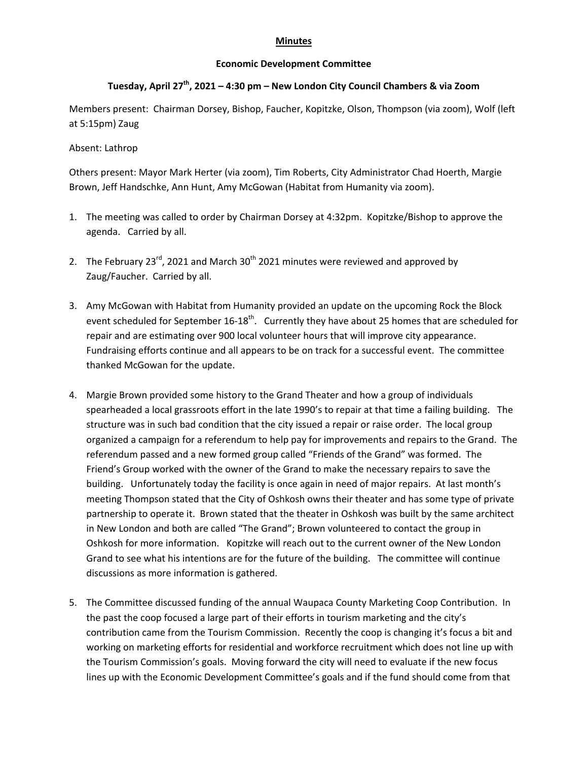## **Minutes**

## **Economic Development Committee**

## **Tuesday, April 27th, 2021 – 4:30 pm – New London City Council Chambers & via Zoom**

Members present: Chairman Dorsey, Bishop, Faucher, Kopitzke, Olson, Thompson (via zoom), Wolf (left at 5:15pm) Zaug

## Absent: Lathrop

Others present: Mayor Mark Herter (via zoom), Tim Roberts, City Administrator Chad Hoerth, Margie Brown, Jeff Handschke, Ann Hunt, Amy McGowan (Habitat from Humanity via zoom).

- 1. The meeting was called to order by Chairman Dorsey at 4:32pm. Kopitzke/Bishop to approve the agenda. Carried by all.
- 2. The February  $23^{\text{rd}}$ , 2021 and March  $30^{\text{th}}$  2021 minutes were reviewed and approved by Zaug/Faucher. Carried by all.
- 3. Amy McGowan with Habitat from Humanity provided an update on the upcoming Rock the Block event scheduled for September 16-18<sup>th</sup>. Currently they have about 25 homes that are scheduled for repair and are estimating over 900 local volunteer hours that will improve city appearance. Fundraising efforts continue and all appears to be on track for a successful event. The committee thanked McGowan for the update.
- 4. Margie Brown provided some history to the Grand Theater and how a group of individuals spearheaded a local grassroots effort in the late 1990's to repair at that time a failing building. The structure was in such bad condition that the city issued a repair or raise order. The local group organized a campaign for a referendum to help pay for improvements and repairs to the Grand. The referendum passed and a new formed group called "Friends of the Grand" was formed. The Friend's Group worked with the owner of the Grand to make the necessary repairs to save the building. Unfortunately today the facility is once again in need of major repairs. At last month's meeting Thompson stated that the City of Oshkosh owns their theater and has some type of private partnership to operate it. Brown stated that the theater in Oshkosh was built by the same architect in New London and both are called "The Grand"; Brown volunteered to contact the group in Oshkosh for more information. Kopitzke will reach out to the current owner of the New London Grand to see what his intentions are for the future of the building. The committee will continue discussions as more information is gathered.
- 5. The Committee discussed funding of the annual Waupaca County Marketing Coop Contribution. In the past the coop focused a large part of their efforts in tourism marketing and the city's contribution came from the Tourism Commission. Recently the coop is changing it's focus a bit and working on marketing efforts for residential and workforce recruitment which does not line up with the Tourism Commission's goals. Moving forward the city will need to evaluate if the new focus lines up with the Economic Development Committee's goals and if the fund should come from that